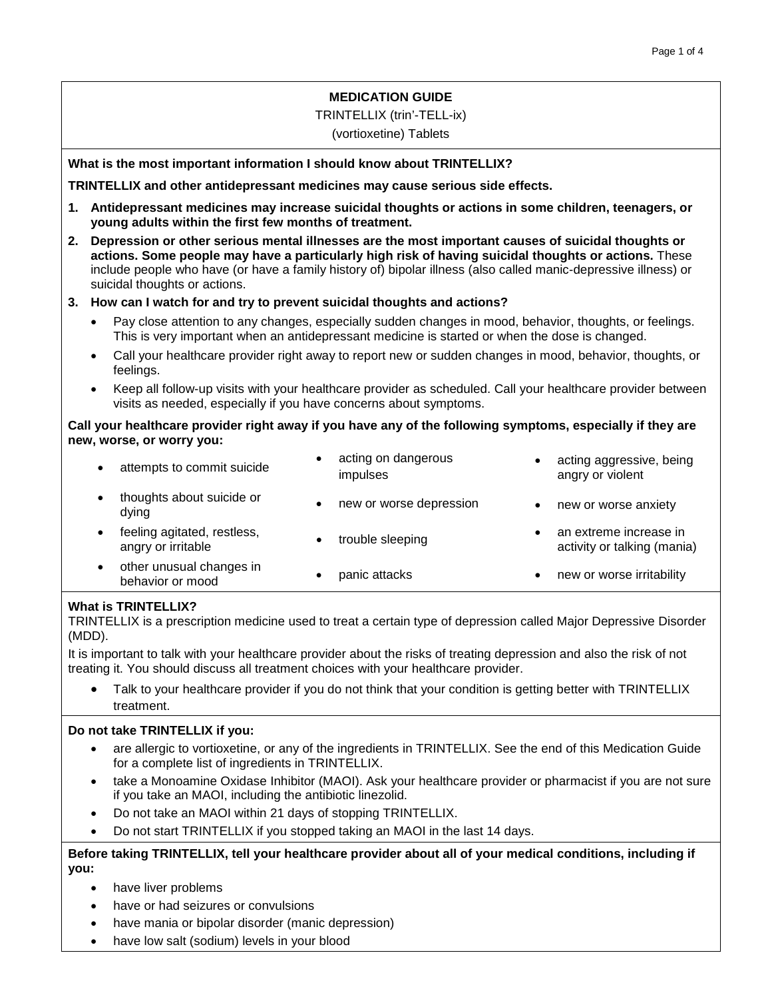# **MEDICATION GUIDE**

## TRINTELLIX (trin'-TELL-ix)

(vortioxetine) Tablets

## **What is the most important information I should know about TRINTELLIX?**

**TRINTELLIX and other antidepressant medicines may cause serious side effects.**

- **1. Antidepressant medicines may increase suicidal thoughts or actions in some children, teenagers, or young adults within the first few months of treatment.**
- **2. Depression or other serious mental illnesses are the most important causes of suicidal thoughts or actions. Some people may have a particularly high risk of having suicidal thoughts or actions.** These include people who have (or have a family history of) bipolar illness (also called manic-depressive illness) or suicidal thoughts or actions.

## **3. How can I watch for and try to prevent suicidal thoughts and actions?**

- Pay close attention to any changes, especially sudden changes in mood, behavior, thoughts, or feelings. This is very important when an antidepressant medicine is started or when the dose is changed.
- Call your healthcare provider right away to report new or sudden changes in mood, behavior, thoughts, or feelings.
- Keep all follow-up visits with your healthcare provider as scheduled. Call your healthcare provider between visits as needed, especially if you have concerns about symptoms.

### **Call your healthcare provider right away if you have any of the following symptoms, especially if they are new, worse, or worry you:**

| attempts to commit suicide                        | acting on dangerous<br>impulses | acting aggressive, being<br>angry or violent          |
|---------------------------------------------------|---------------------------------|-------------------------------------------------------|
| thoughts about suicide or<br>dying                | new or worse depression         | new or worse anxiety                                  |
| feeling agitated, restless,<br>angry or irritable | trouble sleeping                | an extreme increase in<br>activity or talking (mania) |
| other unusual changes in<br>behavior or mood      | panic attacks                   | new or worse irritability                             |

## **What is TRINTELLIX?**

TRINTELLIX is a prescription medicine used to treat a certain type of depression called Major Depressive Disorder (MDD).

It is important to talk with your healthcare provider about the risks of treating depression and also the risk of not treating it. You should discuss all treatment choices with your healthcare provider.

Talk to your healthcare provider if you do not think that your condition is getting better with TRINTELLIX treatment.

### **Do not take TRINTELLIX if you:**

- are allergic to vortioxetine, or any of the ingredients in TRINTELLIX. See the end of this Medication Guide for a complete list of ingredients in TRINTELLIX.
- take a Monoamine Oxidase Inhibitor (MAOI). Ask your healthcare provider or pharmacist if you are not sure if you take an MAOI, including the antibiotic linezolid.
- Do not take an MAOI within 21 days of stopping TRINTELLIX.
- Do not start TRINTELLIX if you stopped taking an MAOI in the last 14 days.

## **Before taking TRINTELLIX, tell your healthcare provider about all of your medical conditions, including if you:**

- have liver problems
- have or had seizures or convulsions
- have mania or bipolar disorder (manic depression)
- have low salt (sodium) levels in your blood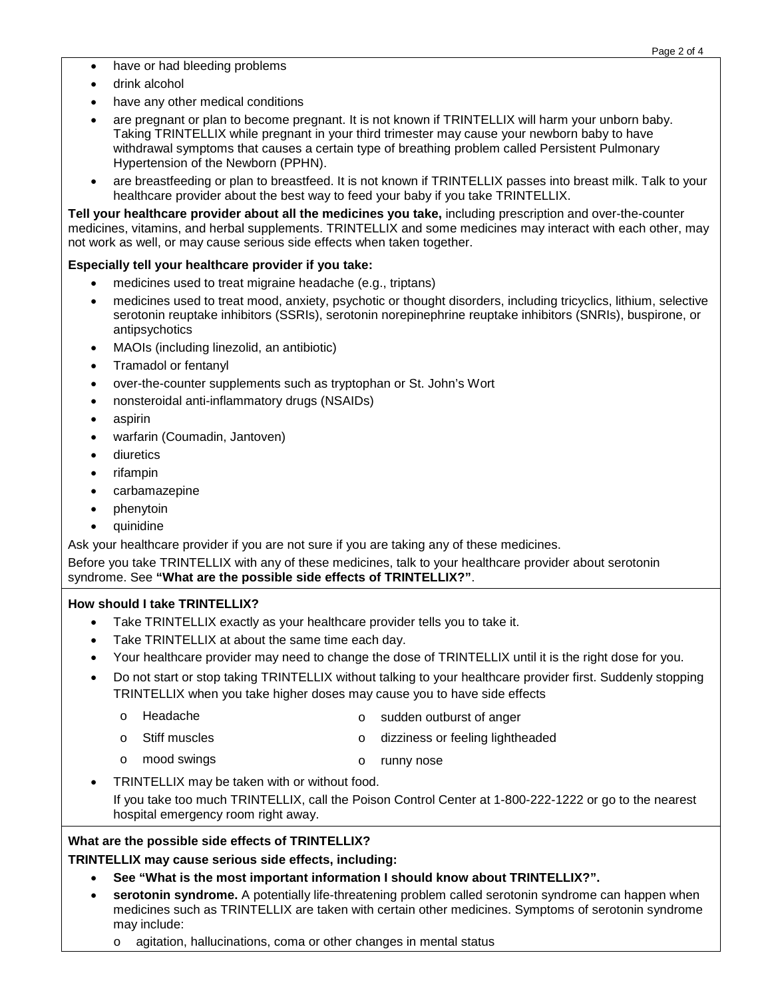- have or had bleeding problems
- drink alcohol
- have any other medical conditions
- are pregnant or plan to become pregnant. It is not known if TRINTELLIX will harm your unborn baby. Taking TRINTELLIX while pregnant in your third trimester may cause your newborn baby to have withdrawal symptoms that causes a certain type of breathing problem called Persistent Pulmonary Hypertension of the Newborn (PPHN).
- are breastfeeding or plan to breastfeed. It is not known if TRINTELLIX passes into breast milk. Talk to your healthcare provider about the best way to feed your baby if you take TRINTELLIX.

**Tell your healthcare provider about all the medicines you take,** including prescription and over-the-counter medicines, vitamins, and herbal supplements. TRINTELLIX and some medicines may interact with each other, may not work as well, or may cause serious side effects when taken together.

## **Especially tell your healthcare provider if you take:**

- medicines used to treat migraine headache (e.g., triptans)
- medicines used to treat mood, anxiety, psychotic or thought disorders, including tricyclics, lithium, selective serotonin reuptake inhibitors (SSRIs), serotonin norepinephrine reuptake inhibitors (SNRIs), buspirone, or antipsychotics
- MAOIs (including linezolid, an antibiotic)
- Tramadol or fentanyl
- over-the-counter supplements such as tryptophan or St. John's Wort
- nonsteroidal anti-inflammatory drugs (NSAIDs)
- aspirin
- warfarin (Coumadin, Jantoven)
- diuretics
- rifampin
- carbamazepine
- phenytoin
- quinidine

Ask your healthcare provider if you are not sure if you are taking any of these medicines.

Before you take TRINTELLIX with any of these medicines, talk to your healthcare provider about serotonin syndrome. See **"What are the possible side effects of TRINTELLIX?"**.

### **How should I take TRINTELLIX?**

- Take TRINTELLIX exactly as your healthcare provider tells you to take it.
- Take TRINTELLIX at about the same time each day.
- Your healthcare provider may need to change the dose of TRINTELLIX until it is the right dose for you.
- Do not start or stop taking TRINTELLIX without talking to your healthcare provider first. Suddenly stopping TRINTELLIX when you take higher doses may cause you to have side effects
	- o Headache o sudden outburst of anger
	- o Stiff muscles o dizziness or feeling lightheaded
	- o mood swings o runny nose
- TRINTELLIX may be taken with or without food.

If you take too much TRINTELLIX, call the Poison Control Center at 1-800-222-1222 or go to the nearest hospital emergency room right away.

### **What are the possible side effects of TRINTELLIX?**

**TRINTELLIX may cause serious side effects, including:**

- **See "What is the most important information I should know about TRINTELLIX?".**
- **serotonin syndrome.** A potentially life-threatening problem called serotonin syndrome can happen when medicines such as TRINTELLIX are taken with certain other medicines. Symptoms of serotonin syndrome may include:
	- o agitation, hallucinations, coma or other changes in mental status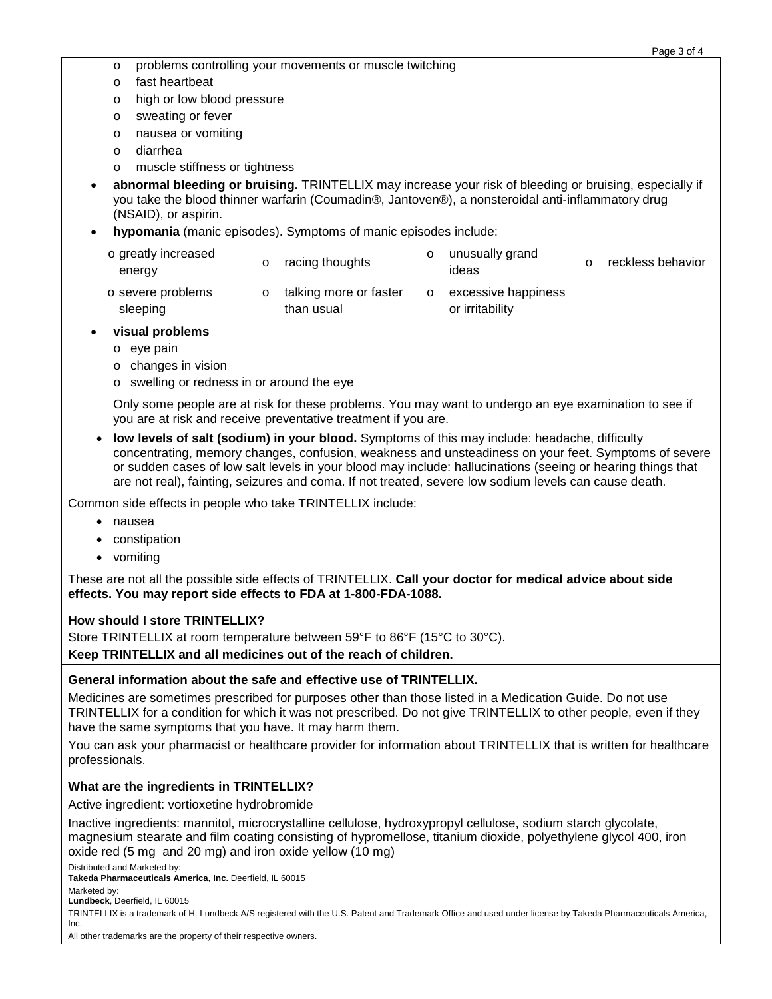- o problems controlling your movements or muscle twitching
- o fast heartbeat
- o high or low blood pressure
- o sweating or fever
- o nausea or vomiting
- o diarrhea
- o muscle stiffness or tightness
- **abnormal bleeding or bruising.** TRINTELLIX may increase your risk of bleeding or bruising, especially if you take the blood thinner warfarin (Coumadin®, Jantoven®), a nonsteroidal anti-inflammatory drug (NSAID), or aspirin.
- **hypomania** (manic episodes). Symptoms of manic episodes include:
	- o greatly increased energy o racing thoughts o unusually grand<br>
	ideas reckless behavior o severe problems sleeping o talking more or faster than usual o excessive happiness or irritability
- **visual problems**
	- o eye pain
	- o changes in vision
	- o swelling or redness in or around the eye

Only some people are at risk for these problems. You may want to undergo an eye examination to see if you are at risk and receive preventative treatment if you are.

• **low levels of salt (sodium) in your blood.** Symptoms of this may include: headache, difficulty concentrating, memory changes, confusion, weakness and unsteadiness on your feet. Symptoms of severe or sudden cases of low salt levels in your blood may include: hallucinations (seeing or hearing things that are not real), fainting, seizures and coma. If not treated, severe low sodium levels can cause death.

Common side effects in people who take TRINTELLIX include:

- nausea
- constipation
- vomiting

These are not all the possible side effects of TRINTELLIX. **Call your doctor for medical advice about side effects. You may report side effects to FDA at 1-800-FDA-1088.**

#### **How should I store TRINTELLIX?**

Store TRINTELLIX at room temperature between 59°F to 86°F (15°C to 30°C).

**Keep TRINTELLIX and all medicines out of the reach of children.**

### **General information about the safe and effective use of TRINTELLIX.**

Medicines are sometimes prescribed for purposes other than those listed in a Medication Guide. Do not use TRINTELLIX for a condition for which it was not prescribed. Do not give TRINTELLIX to other people, even if they have the same symptoms that you have. It may harm them.

You can ask your pharmacist or healthcare provider for information about TRINTELLIX that is written for healthcare professionals.

### **What are the ingredients in TRINTELLIX?**

Active ingredient: vortioxetine hydrobromide

Inactive ingredients: mannitol, microcrystalline cellulose, hydroxypropyl cellulose, sodium starch glycolate, magnesium stearate and film coating consisting of hypromellose, titanium dioxide, polyethylene glycol 400, iron oxide red (5 mg and 20 mg) and iron oxide yellow (10 mg)

Distributed and Marketed by:

**Takeda Pharmaceuticals America, Inc.** Deerfield, IL 60015

Marketed by:

**Lundbeck**, Deerfield, IL 60015

TRINTELLIX is a trademark of H. Lundbeck A/S registered with the U.S. Patent and Trademark Office and used under license by Takeda Pharmaceuticals America, Inc.

All other trademarks are the property of their respective owners.